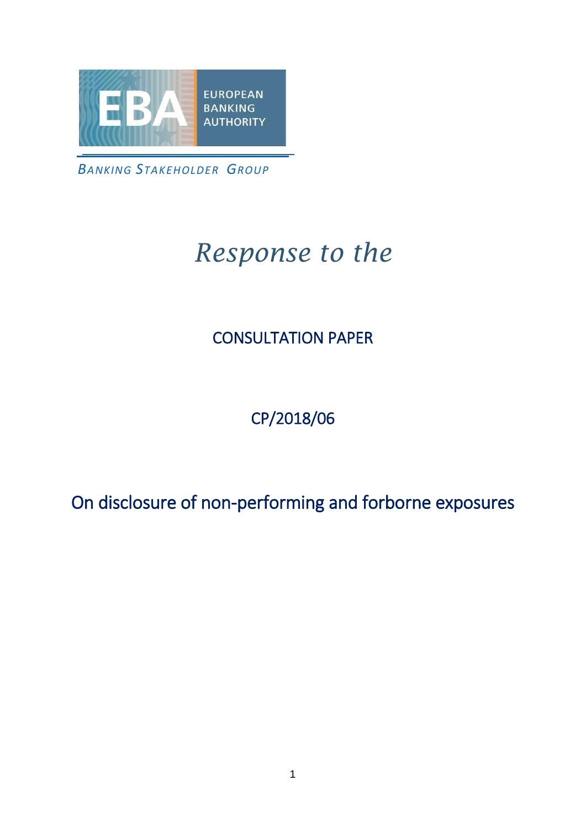

*BANKING STAKEHOLDER GROUP*

# *Response to the*

#### CONSULTATION PAPER

### CP/2018/06

On disclosure of non-performing and forborne exposures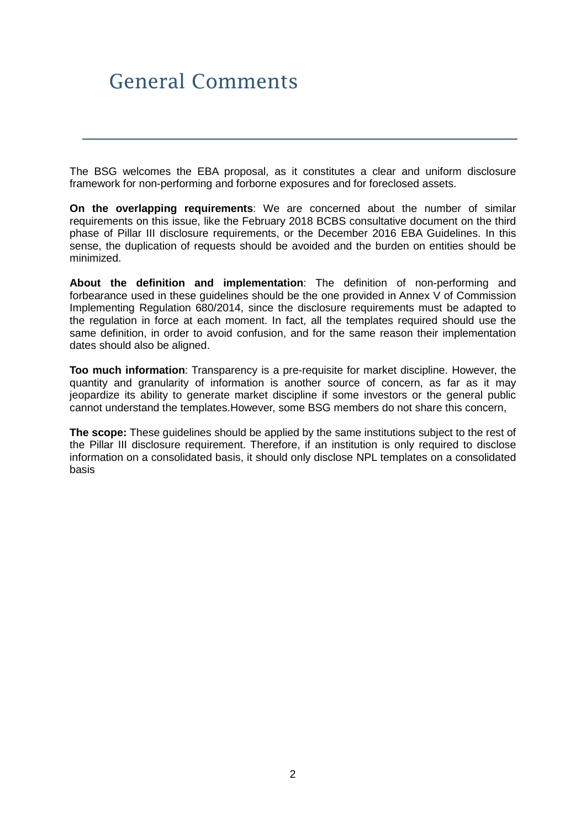## General Comments

The BSG welcomes the EBA proposal, as it constitutes a clear and uniform disclosure framework for non-performing and forborne exposures and for foreclosed assets.

**On the overlapping requirements**: We are concerned about the number of similar requirements on this issue, like the February 2018 BCBS consultative document on the third phase of Pillar III disclosure requirements, or the December 2016 EBA Guidelines. In this sense, the duplication of requests should be avoided and the burden on entities should be minimized.

**About the definition and implementation**: The definition of non-performing and forbearance used in these guidelines should be the one provided in Annex V of Commission Implementing Regulation 680/2014, since the disclosure requirements must be adapted to the regulation in force at each moment. In fact, all the templates required should use the same definition, in order to avoid confusion, and for the same reason their implementation dates should also be aligned.

**Too much information**: Transparency is a pre-requisite for market discipline. However, the quantity and granularity of information is another source of concern, as far as it may jeopardize its ability to generate market discipline if some investors or the general public cannot understand the templates.However, some BSG members do not share this concern,

**The scope:** These guidelines should be applied by the same institutions subject to the rest of the Pillar III disclosure requirement. Therefore, if an institution is only required to disclose information on a consolidated basis, it should only disclose NPL templates on a consolidated basis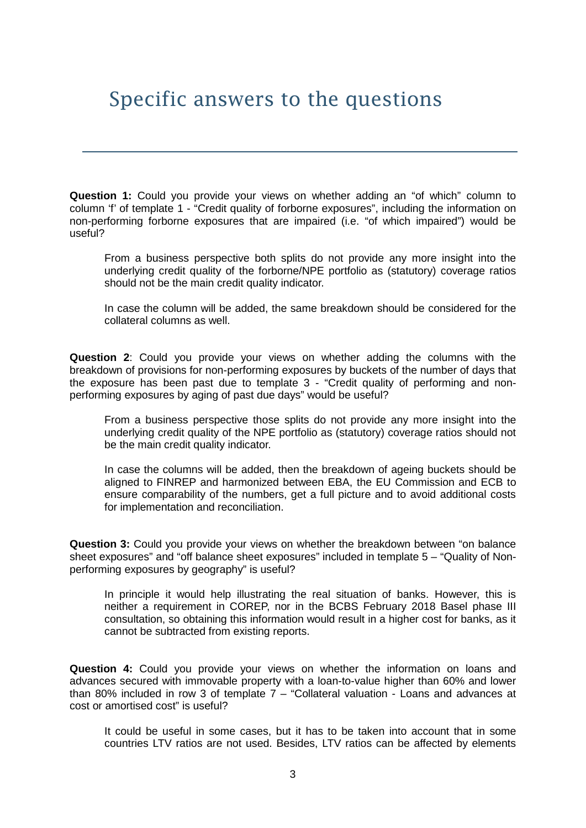## Specific answers to the questions

**Question 1:** Could you provide your views on whether adding an "of which" column to column 'f' of template 1 - "Credit quality of forborne exposures", including the information on non-performing forborne exposures that are impaired (i.e. "of which impaired") would be useful?

From a business perspective both splits do not provide any more insight into the underlying credit quality of the forborne/NPE portfolio as (statutory) coverage ratios should not be the main credit quality indicator.

In case the column will be added, the same breakdown should be considered for the collateral columns as well.

**Question 2**: Could you provide your views on whether adding the columns with the breakdown of provisions for non-performing exposures by buckets of the number of days that the exposure has been past due to template 3 - "Credit quality of performing and nonperforming exposures by aging of past due days" would be useful?

From a business perspective those splits do not provide any more insight into the underlying credit quality of the NPE portfolio as (statutory) coverage ratios should not be the main credit quality indicator.

In case the columns will be added, then the breakdown of ageing buckets should be aligned to FINREP and harmonized between EBA, the EU Commission and ECB to ensure comparability of the numbers, get a full picture and to avoid additional costs for implementation and reconciliation.

**Question 3:** Could you provide your views on whether the breakdown between "on balance sheet exposures" and "off balance sheet exposures" included in template 5 – "Quality of Nonperforming exposures by geography" is useful?

In principle it would help illustrating the real situation of banks. However, this is neither a requirement in COREP, nor in the BCBS February 2018 Basel phase III consultation, so obtaining this information would result in a higher cost for banks, as it cannot be subtracted from existing reports.

**Question 4:** Could you provide your views on whether the information on loans and advances secured with immovable property with a loan-to-value higher than 60% and lower than 80% included in row 3 of template  $7 -$  "Collateral valuation - Loans and advances at cost or amortised cost" is useful?

It could be useful in some cases, but it has to be taken into account that in some countries LTV ratios are not used. Besides, LTV ratios can be affected by elements